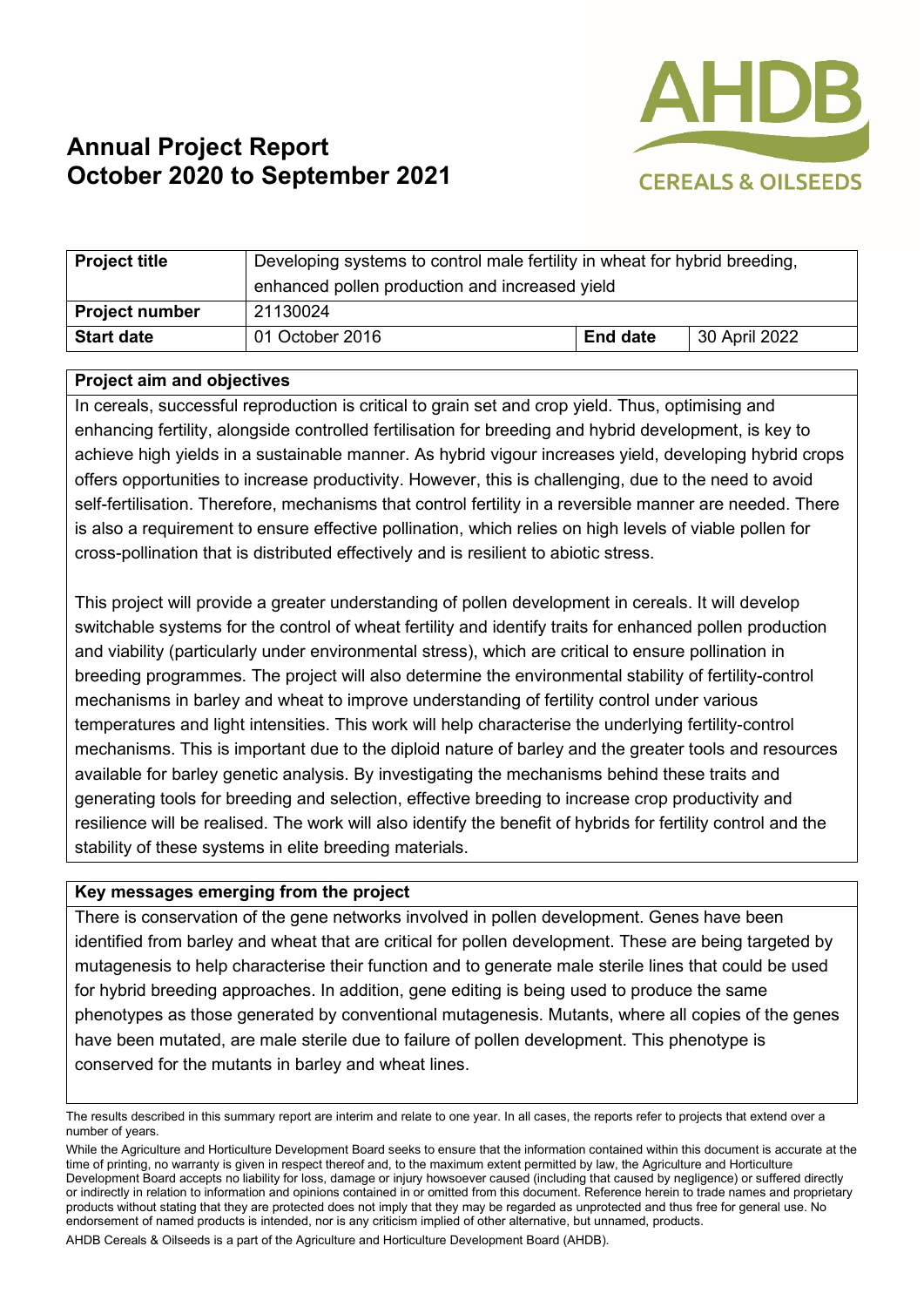

# **Annual Project Report October 2020 to September 2021**

| <b>Project title</b>  | Developing systems to control male fertility in wheat for hybrid breeding,<br>enhanced pollen production and increased yield |                 |               |
|-----------------------|------------------------------------------------------------------------------------------------------------------------------|-----------------|---------------|
| <b>Project number</b> | 21130024                                                                                                                     |                 |               |
| <b>Start date</b>     | 01 October 2016                                                                                                              | <b>End date</b> | 30 April 2022 |

#### **Project aim and objectives**

In cereals, successful reproduction is critical to grain set and crop yield. Thus, optimising and enhancing fertility, alongside controlled fertilisation for breeding and hybrid development, is key to achieve high yields in a sustainable manner. As hybrid vigour increases yield, developing hybrid crops offers opportunities to increase productivity. However, this is challenging, due to the need to avoid self-fertilisation. Therefore, mechanisms that control fertility in a reversible manner are needed. There is also a requirement to ensure effective pollination, which relies on high levels of viable pollen for cross-pollination that is distributed effectively and is resilient to abiotic stress.

This project will provide a greater understanding of pollen development in cereals. It will develop switchable systems for the control of wheat fertility and identify traits for enhanced pollen production and viability (particularly under environmental stress), which are critical to ensure pollination in breeding programmes. The project will also determine the environmental stability of fertility-control mechanisms in barley and wheat to improve understanding of fertility control under various temperatures and light intensities. This work will help characterise the underlying fertility-control mechanisms. This is important due to the diploid nature of barley and the greater tools and resources available for barley genetic analysis. By investigating the mechanisms behind these traits and generating tools for breeding and selection, effective breeding to increase crop productivity and resilience will be realised. The work will also identify the benefit of hybrids for fertility control and the stability of these systems in elite breeding materials.

#### **Key messages emerging from the project**

There is conservation of the gene networks involved in pollen development. Genes have been identified from barley and wheat that are critical for pollen development. These are being targeted by mutagenesis to help characterise their function and to generate male sterile lines that could be used for hybrid breeding approaches. In addition, gene editing is being used to produce the same phenotypes as those generated by conventional mutagenesis. Mutants, where all copies of the genes have been mutated, are male sterile due to failure of pollen development. This phenotype is conserved for the mutants in barley and wheat lines.

AHDB Cereals & Oilseeds is a part of the Agriculture and Horticulture Development Board (AHDB).

The results described in this summary report are interim and relate to one year. In all cases, the reports refer to projects that extend over a number of years.

While the Agriculture and Horticulture Development Board seeks to ensure that the information contained within this document is accurate at the time of printing, no warranty is given in respect thereof and, to the maximum extent permitted by law, the Agriculture and Horticulture Development Board accepts no liability for loss, damage or injury howsoever caused (including that caused by negligence) or suffered directly or indirectly in relation to information and opinions contained in or omitted from this document. Reference herein to trade names and proprietary products without stating that they are protected does not imply that they may be regarded as unprotected and thus free for general use. No endorsement of named products is intended, nor is any criticism implied of other alternative, but unnamed, products.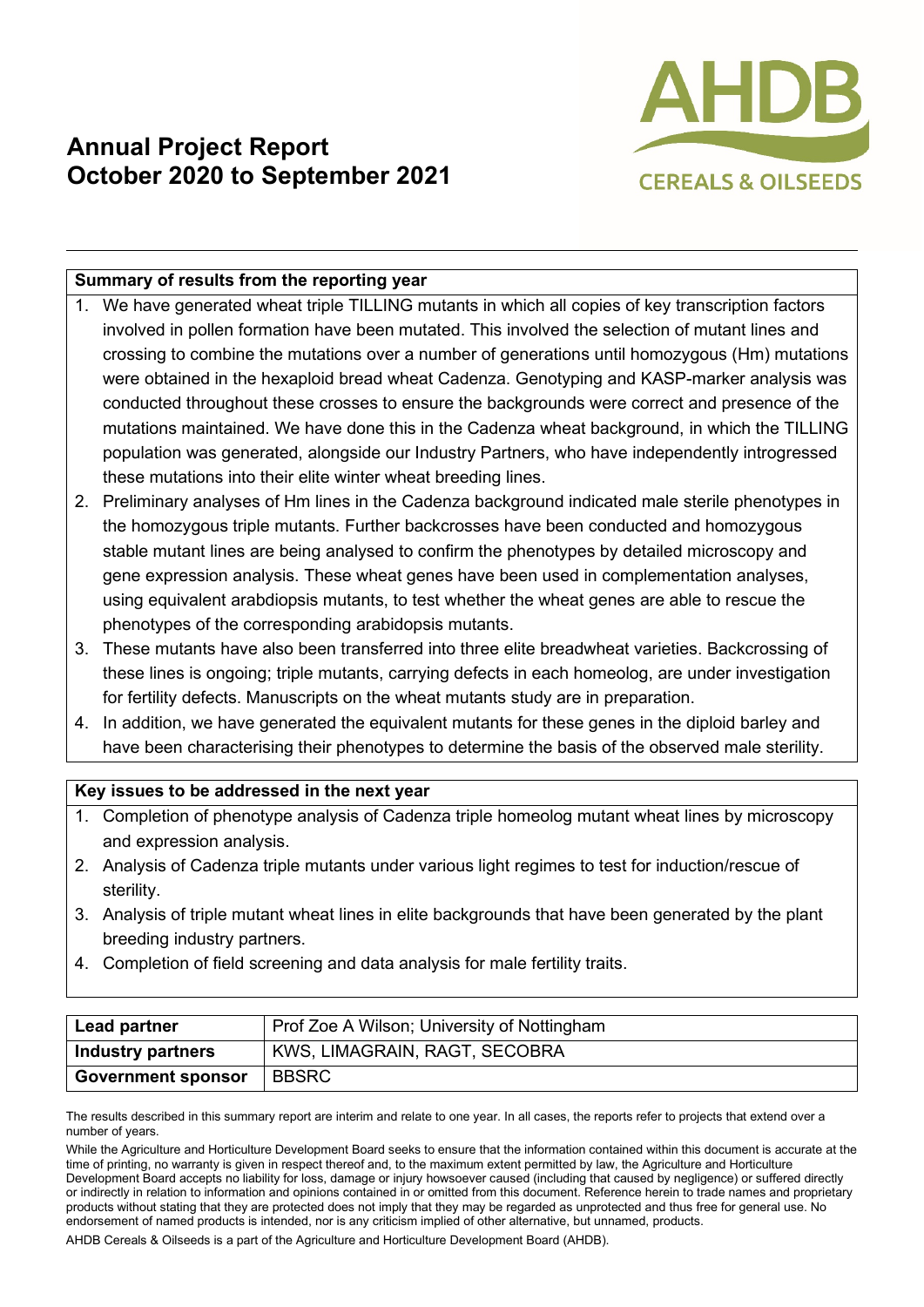### **Annual Project Report October 2020 to September 2021**



### **Summary of results from the reporting year**

- 1. We have generated wheat triple TILLING mutants in which all copies of key transcription factors involved in pollen formation have been mutated. This involved the selection of mutant lines and crossing to combine the mutations over a number of generations until homozygous (Hm) mutations were obtained in the hexaploid bread wheat Cadenza. Genotyping and KASP-marker analysis was conducted throughout these crosses to ensure the backgrounds were correct and presence of the mutations maintained. We have done this in the Cadenza wheat background, in which the TILLING population was generated, alongside our Industry Partners, who have independently introgressed these mutations into their elite winter wheat breeding lines.
- 2. Preliminary analyses of Hm lines in the Cadenza background indicated male sterile phenotypes in the homozygous triple mutants. Further backcrosses have been conducted and homozygous stable mutant lines are being analysed to confirm the phenotypes by detailed microscopy and gene expression analysis. These wheat genes have been used in complementation analyses, using equivalent arabdiopsis mutants, to test whether the wheat genes are able to rescue the phenotypes of the corresponding arabidopsis mutants.
- 3. These mutants have also been transferred into three elite breadwheat varieties. Backcrossing of these lines is ongoing; triple mutants, carrying defects in each homeolog, are under investigation for fertility defects. Manuscripts on the wheat mutants study are in preparation.
- 4. In addition, we have generated the equivalent mutants for these genes in the diploid barley and have been characterising their phenotypes to determine the basis of the observed male sterility.

### **Key issues to be addressed in the next year**

- 1. Completion of phenotype analysis of Cadenza triple homeolog mutant wheat lines by microscopy and expression analysis.
- 2. Analysis of Cadenza triple mutants under various light regimes to test for induction/rescue of sterility.
- 3. Analysis of triple mutant wheat lines in elite backgrounds that have been generated by the plant breeding industry partners.
- 4. Completion of field screening and data analysis for male fertility traits.

| Lead partner              | Prof Zoe A Wilson; University of Nottingham |  |
|---------------------------|---------------------------------------------|--|
| <b>Industry partners</b>  | KWS, LIMAGRAIN, RAGT, SECOBRA               |  |
| <b>Government sponsor</b> | <b>BBSRC</b>                                |  |

The results described in this summary report are interim and relate to one year. In all cases, the reports refer to projects that extend over a number of years.

While the Agriculture and Horticulture Development Board seeks to ensure that the information contained within this document is accurate at the time of printing, no warranty is given in respect thereof and, to the maximum extent permitted by law, the Agriculture and Horticulture Development Board accepts no liability for loss, damage or injury howsoever caused (including that caused by negligence) or suffered directly or indirectly in relation to information and opinions contained in or omitted from this document. Reference herein to trade names and proprietary products without stating that they are protected does not imply that they may be regarded as unprotected and thus free for general use. No endorsement of named products is intended, nor is any criticism implied of other alternative, but unnamed, products.

AHDB Cereals & Oilseeds is a part of the Agriculture and Horticulture Development Board (AHDB).